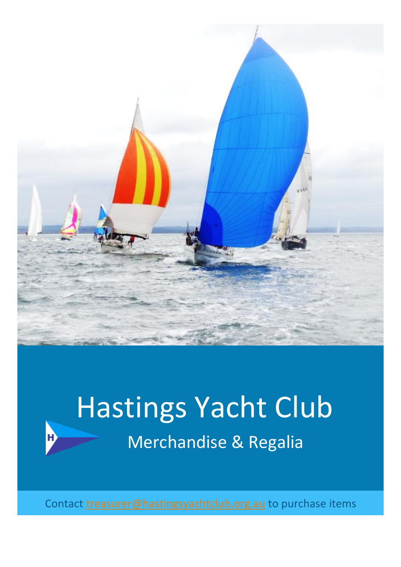

## Hastings Yacht Club Merchandise & Regalia

Н

Contact [treasurer@hastingsyachtclub.org.au](mailto:treasurer@hastingsyachtclub.org.au) to purchase items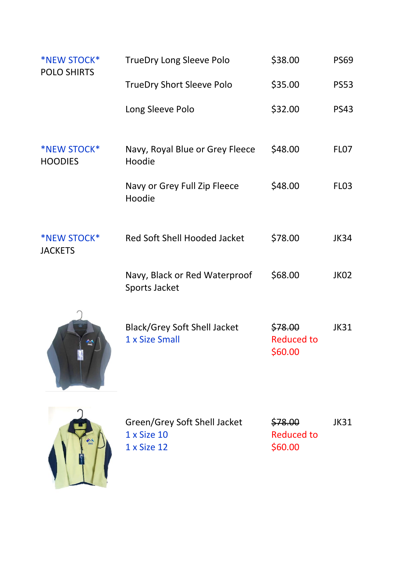| <b>*NEW STOCK*</b><br><b>POLO SHIRTS</b> | <b>TrueDry Long Sleeve Polo</b>                            | \$38.00                                 | <b>PS69</b>      |
|------------------------------------------|------------------------------------------------------------|-----------------------------------------|------------------|
|                                          | <b>TrueDry Short Sleeve Polo</b>                           | \$35.00                                 | <b>PS53</b>      |
|                                          | Long Sleeve Polo                                           | \$32.00                                 | <b>PS43</b>      |
| <b>*NEW STOCK*</b><br><b>HOODIES</b>     | Navy, Royal Blue or Grey Fleece<br>Hoodie                  | \$48.00                                 | FL <sub>07</sub> |
|                                          | Navy or Grey Full Zip Fleece<br>Hoodie                     | \$48.00                                 | FL <sub>03</sub> |
| <b>*NEW STOCK*</b><br><b>JACKETS</b>     | <b>Red Soft Shell Hooded Jacket</b>                        | \$78.00                                 | <b>JK34</b>      |
|                                          | Navy, Black or Red Waterproof<br>Sports Jacket             | \$68.00                                 | JK02             |
|                                          | <b>Black/Grey Soft Shell Jacket</b><br>1 x Size Small      | \$78.00<br><b>Reduced to</b><br>\$60.00 | JK31             |
|                                          | Green/Grey Soft Shell Jacket<br>1 x Size 10<br>1 x Size 12 | \$78.00<br><b>Reduced to</b><br>\$60.00 | JK31             |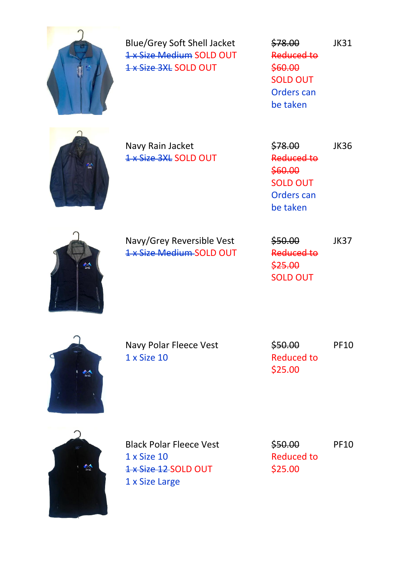

Blue/Grey Soft Shell Jacket 1 x Size Medium SOLD OUT 1 x Size 3XL SOLD OUT

\$78.00 Reduced to \$60.00 SOLD OUT Orders can be taken JK31



Navy Rain Jacket 1 x Size 3XL SOLD OUT \$78.00 Reduced to \$60.00 SOLD OUT Orders can be taken JK36



Navy/Grey Reversible Vest 1 x Size Medium SOLD OUT \$50.00 Reduced to \$25.00 SOLD OUT JK37



Navy Polar Fleece Vest 1 x Size 10

\$50.00 Reduced to \$25.00 PF10



Black Polar Fleece Vest 1 x Size 10 1 x Size 12 SOLD OUT 1 x Size Large

\$50.00 Reduced to \$25.00 PF10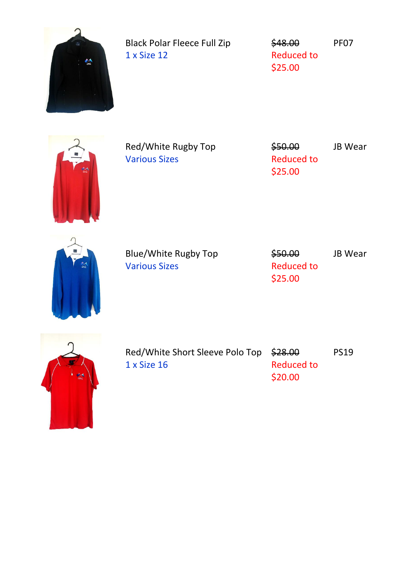| $\frac{d}{d\omega}$ | <b>Black Polar Fleece Full Zip</b><br>1 x Size 12   | \$48.00<br><b>Reduced to</b><br>\$25.00 | PF07           |
|---------------------|-----------------------------------------------------|-----------------------------------------|----------------|
|                     | Red/White Rugby Top<br><b>Various Sizes</b>         | \$50.00<br><b>Reduced to</b><br>\$25.00 | JB Wear        |
|                     | <b>Blue/White Rugby Top</b><br><b>Various Sizes</b> | \$50.00<br><b>Reduced to</b><br>\$25.00 | <b>JB Wear</b> |
|                     | Red/White Short Sleeve Polo Top<br>1 x Size 16      | \$28.00<br><b>Reduced to</b><br>\$20.00 | <b>PS19</b>    |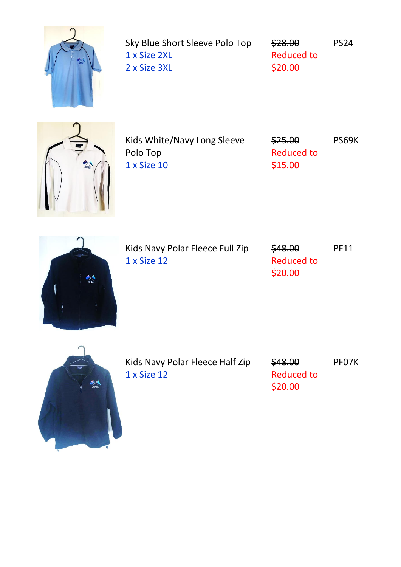

Sky Blue Short Sleeve Polo Top 1 x Size 2XL 2 x Size 3XL

\$28.00 Reduced to \$20.00 PS24



Kids White/Navy Long Sleeve Polo Top 1 x Size 10

\$25.00 Reduced to \$15.00 PS69K



Kids Navy Polar Fleece Full Zip 1 x Size 12

\$48.00 Reduced to \$20.00 PF11



Kids Navy Polar Fleece Half Zip 1 x Size 12

\$48.00 Reduced to \$20.00 PF07K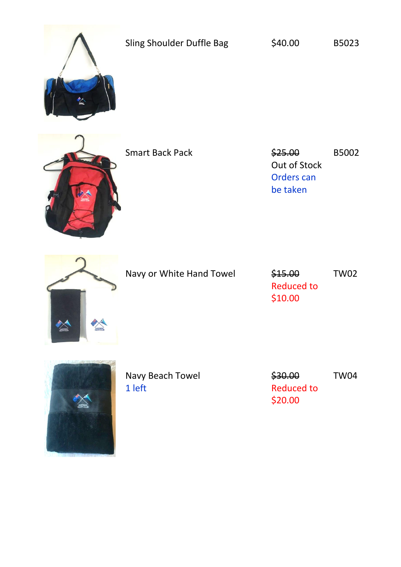

Sling Shoulder Duffle Bag  $\bigcirc$  \$40.00 B5023



Smart Back Pack **625.00** 

Out of Stock Orders can be taken B5002



Navy or White Hand Towel \$15.00

Reduced to \$10.00 TW02



Navy Beach Towel 1 left

\$30.00 Reduced to \$20.00

TW04